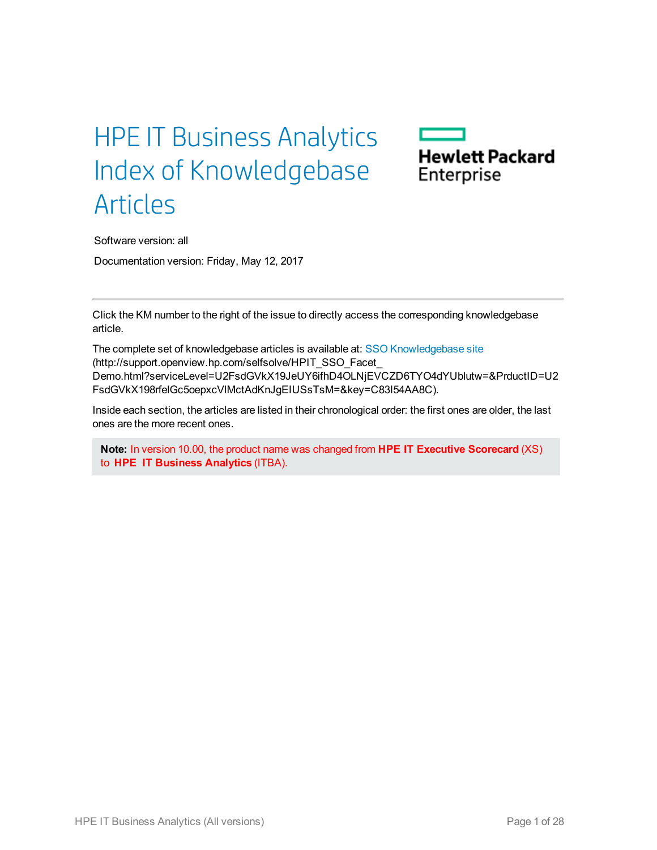# HPE IT Business Analytics Index of Knowledgebase Articles



Software version: all Documentation version: Friday, May 12, 2017

Click the KM number to the right of the issue to directly access the corresponding knowledgebase article.

The complete set of knowledgebase articles is available at: SSO [Knowledgebase](http://support.openview.hp.com/selfsolve/HPIT_SSO_Facet_Demo.html?serviceLevel=U2FsdGVkX19JeUY6ifhD4OLNjEVCZD6TYO4dYUblutw=&PrductID=U2FsdGVkX198rfelGc5oepxcVlMctAdKnJgEIUSsTsM=&key=C83I54AA8C) site (http://support.openview.hp.com/selfsolve/HPIT\_SSO\_Facet\_ Demo.html?serviceLevel=U2FsdGVkX19JeUY6ifhD4OLNjEVCZD6TYO4dYUblutw=&PrductID=U2 FsdGVkX198rfelGc5oepxcVlMctAdKnJgEIUSsTsM=&key=C83I54AA8C).

Inside each section, the articles are listed in their chronological order: the first ones are older, the last ones are the more recent ones.

**Note:** In version 10.00, the product name was changed from **HPE IT Executive Scorecard** (XS) to **HPE IT Business Analytics** (ITBA).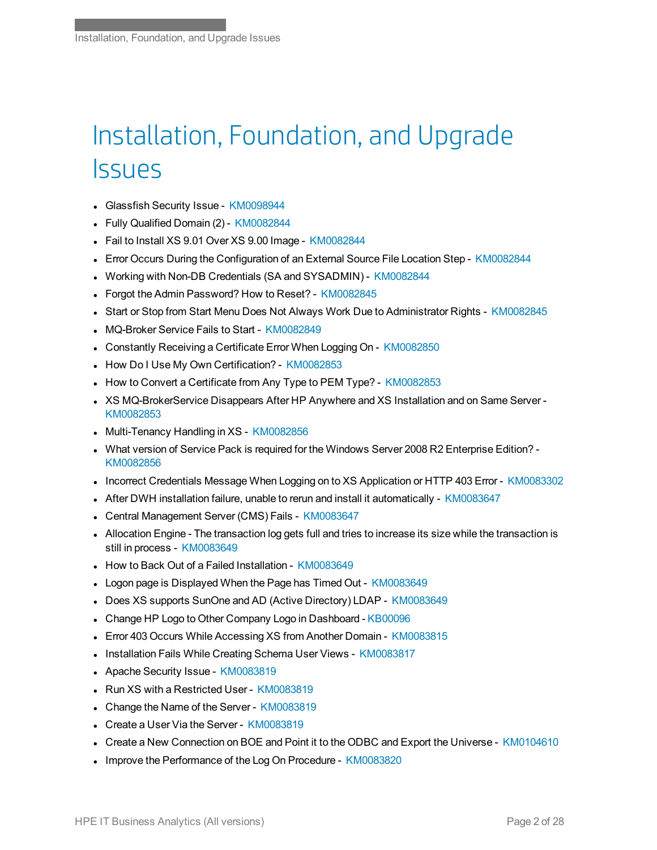# Installation, Foundation, and Upgrade **Issues**

- **Glassfish Security Issue [KM0098944](https://softwaresupport.hpe.com/km/KM00989446)**
- Fully Qualified Domain (2) [KM0082844](https://softwaresupport.hpe.com/km/KM00828446)
- Fail to Install XS 9.01 Over XS 9.00 Image [KM0082844](https://softwaresupport.hpe.com/km/KM00828447)
- Error Occurs During the Configuration of an External Source File Location Step [KM0082844](https://softwaresupport.hpe.com/km/KM00828448)
- <sup>l</sup> Working with Non-DB Credentials (SA and SYSADMIN) [KM0082844](https://softwaresupport.hpe.com/km/KM00828449)
- Forgot the Admin Password? How to Reset? [KM0082845](https://softwaresupport.hpe.com/km/KM00828450)
- Start or Stop from Start Menu Does Not Always Work Due to Administrator Rights [KM0082845](https://softwaresupport.hpe.com/km/KM00828452)
- MQ-Broker Service Fails to Start [KM0082849](https://softwaresupport.hpe.com/km/KM00828496)
- <sup>l</sup> Constantly Receiving a Certificate Error When Logging On [KM0082850](https://softwaresupport.hpe.com/km/KM00828500)
- How Do I Use My Own Certification? [KM0082853](https://softwaresupport.hpe.com/km/KM00828533)
- How to Convert a Certificate from Any Type to PEM Type? [KM0082853](https://softwaresupport.hpe.com/km/KM00828537)
- XS MQ-BrokerService Disappears After HP Anywhere and XS Installation and on Same Server -[KM0082853](https://softwaresupport.hpe.com/km/KM00828539)
- Multi-Tenancy Handling in XS [KM0082856](https://softwaresupport.hpe.com/km/KM00828565)
- . What version of Service Pack is required for the Windows Server 2008 R2 Enterprise Edition? -[KM0082856](https://softwaresupport.hpe.com/km/KM00828566)
- Incorrect Credentials Message When Logging on to XS Application or HTTP 403 Error [KM0083302](https://softwaresupport.hpe.com/km/KM00833025)
- <sup>l</sup> After DWH installation failure, unable to rerun and install it automatically [KM0083647](https://softwaresupport.hpe.com/km/KM00836471)
- Central Management Server (CMS) Fails [KM0083647](https://softwaresupport.hpe.com/km/KM00836472)
- <sup>l</sup> Allocation Engine The transaction log gets full and tries to increase its size while the transaction is still in process - [KM0083649](https://softwaresupport.hpe.com/km/KM00836492)
- <sup>l</sup> How to Back Out of a Failed Installation [KM0083649](https://softwaresupport.hpe.com/km/KM00836493)
- Logon page is Displayed When the Page has Timed Out [KM0083649](https://softwaresupport.hpe.com/km/KM00836494)
- Does XS supports SunOne and AD (Active Directory) LDAP [KM0083649](https://softwaresupport.hpe.com/km/KM00836497)
- Change HP Logo to Other Company Logo in Dashboard [KB00096](https://softwaresupport.hpe.com/km/KB00096)
- Error 403 Occurs While Accessing XS from Another Domain [KM0083815](https://softwaresupport.hpe.com/km/KM00838153)
- Installation Fails While Creating Schema User Views [KM0083817](https://softwaresupport.hpe.com/km/KM00838173)
- Apache Security Issue [KM0083819](https://softwaresupport.hpe.com/km/KM00838190)
- Run XS with a Restricted User [KM0083819](https://softwaresupport.hpe.com/km/KM00838196)
- Change the Name of the Server [KM0083819](https://softwaresupport.hpe.com/km/KM00838197)
- Create a User Via the Server [KM0083819](https://softwaresupport.hpe.com/km/KM00838199)
- <sup>l</sup> Create a New Connection on BOE and Point it to the ODBC and Export the Universe [KM0104610](https://softwaresupport.hpe.com/km/KM01046105)
- Improve the Performance of the Log On Procedure [KM0083820](https://softwaresupport.hpe.com/km/KM00838200)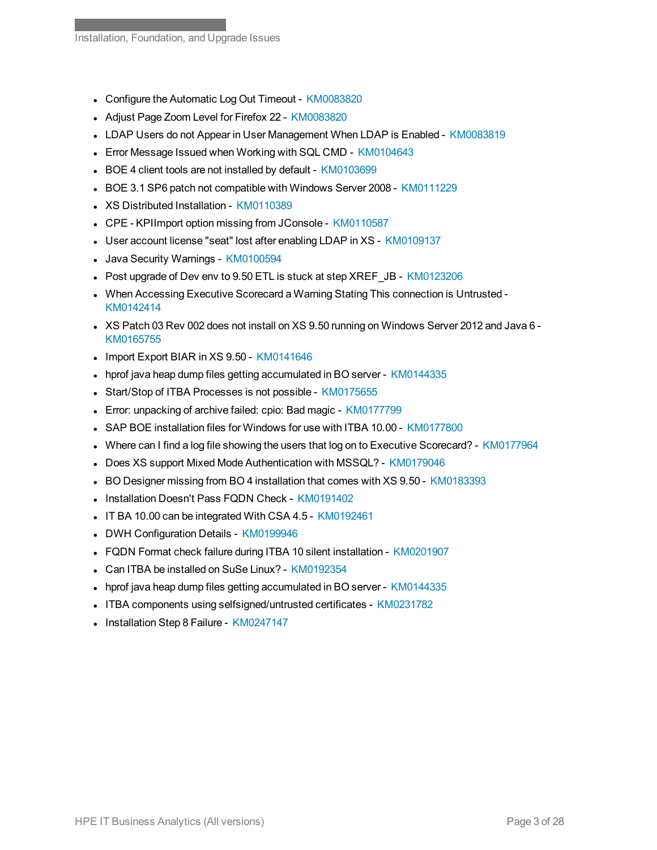- Configure the Automatic Log Out Timeout [KM0083820](https://softwaresupport.hpe.com/km/KM00838202)
- Adjust Page Zoom Level for Firefox 22 [KM0083820](https://softwaresupport.hpe.com/km/KM00838205)
- <sup>l</sup> LDAP Users do not Appear in User Management When LDAP is Enabled [KM0083819](https://softwaresupport.hpe.com/km/KM00838196)
- Error Message Issued when Working with SQL CMD [KM0104643](https://softwaresupport.hpe.com/km/KM01046433)
- BOE 4 client tools are not installed by default [KM0103699](https://softwaresupport.hpe.com/km/KM01036991)
- BOE 3.1 SP6 patch not compatible with Windows Server 2008 [KM0111229](https://softwaresupport.hpe.com/km/KM01112293)
- XS Distributed Installation [KM0110389](https://softwaresupport.hpe.com/km/KM01103896)
- CPE KPIImport option missing from JConsole [KM0110587](https://softwaresupport.hpe.com/km/KM01105879)
- User account license "seat" lost after enabling LDAP in XS [KM0109137](https://softwaresupport.hpe.com/km/KM01091375)
- Java Security Warnings [KM0100594](https://softwaresupport.hpe.com/km/KM01005945)
- Post upgrade of Dev env to 9.50 ETL is stuck at step XREF\_JB [KM0123206](https://softwaresupport.hpe.com/km/KM01232063)
- <sup>l</sup> When Accessing Executive Scorecard a Warning Stating This connection is Untrusted [KM0142414](https://softwaresupport.hpe.com/km/KM01424142)
- I XS Patch 03 Rev 002 does not install on XS 9.50 running on Windows Server 2012 and Java 6 -[KM0165755](https://softwaresupport.hpe.com/km/KM01657550)
- Import Export BIAR in XS 9.50 [KM0141646](https://softwaresupport.hpe.com/km/KM01416465)
- hprof java heap dump files getting accumulated in BO server [KM0144335](https://softwaresupport.hpe.com/km/KM01443358)
- Start/Stop of ITBA Processes is not possible [KM0175655](https://softwaresupport.hpe.com/km/KM01756554)
- Error: unpacking of archive failed: cpio: Bad magic [KM0177799](https://softwaresupport.hpe.com/km/KM01777990)
- <sup>l</sup> SAP BOE installation files for Windows for use with ITBA 10.00 [KM0177800](https://softwaresupport.hpe.com/km/KM01778004)
- Where can I find a log file showing the users that log on to Executive Scorecard? [KM0177964](https://softwaresupport.hpe.com/km/KM01779641)
- Does XS support Mixed Mode Authentication with MSSQL? [KM0179046](https://softwaresupport.hpe.com/km/KM01790468)
- BO Designer missing from BO 4 installation that comes with XS 9.50 [KM0183393](https://softwaresupport.hpe.com/km/KM01833932)
- Installation Doesn't Pass FQDN Check [KM0191402](https://softwaresupport.hpe.com/km/KM01914029)
- . IT BA 10.00 can be integrated With CSA 4.5 [KM0192461](https://softwaresupport.hpe.com/km/KM01924617)
- DWH Configuration Details [KM0199946](https://softwaresupport.hpe.com/km/KM01999463)
- FQDN Format check failure during ITBA 10 silent installation [KM0201907](https://softwaresupport.hpe.com/km/KM02019076)
- Can ITBA be installed on SuSe Linux? [KM0192354](https://softwaresupport.hpe.com/km/KM01923546)
- hprof java heap dump files getting accumulated in BO server [KM0144335](https://softwaresupport.hp.com/group/softwaresupport/search-result/-/facetsearch/document/KM01443358)
- <sup>l</sup> ITBA components using selfsigned/untrusted certificates [KM0231782](https://softwaresupport.hp.com/group/softwaresupport/search-result/-/facetsearch/document/KM02317828)
- Installation Step 8 Failure [KM0247147](https://softwaresupport.hpe.com/km/KM02471472)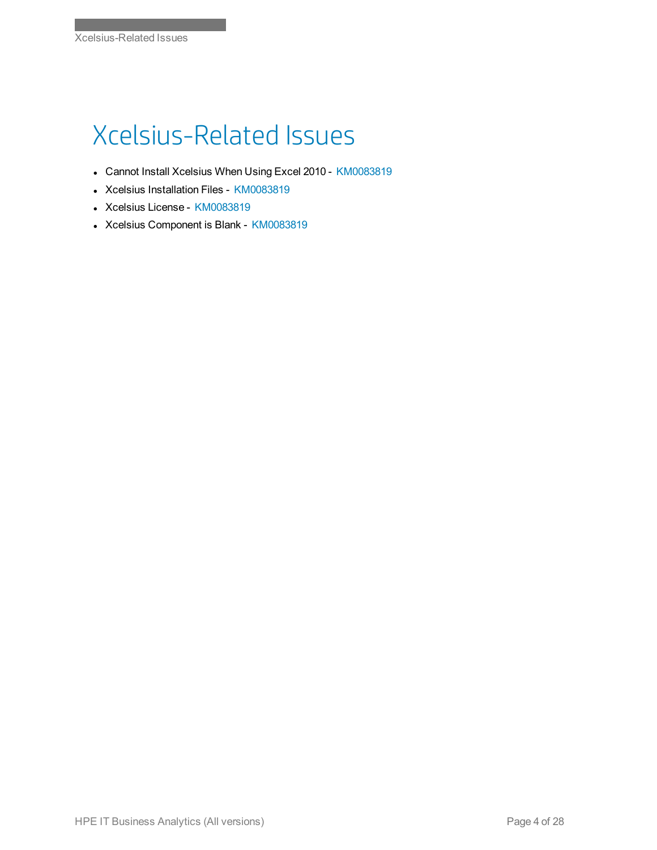# Xcelsius-Related Issues

- Cannot Install Xcelsius When Using Excel 2010 [KM0083819](https://softwaresupport.hpe.com/km/KM00838196)
- Xcelsius Installation Files [KM0083819](https://softwaresupport.hpe.com/km/KM00838196)
- Xcelsius License [KM0083819](https://softwaresupport.hpe.com/km/KM00838196)
- Xcelsius Component is Blank [KM0083819](https://softwaresupport.hpe.com/km/KM00838196)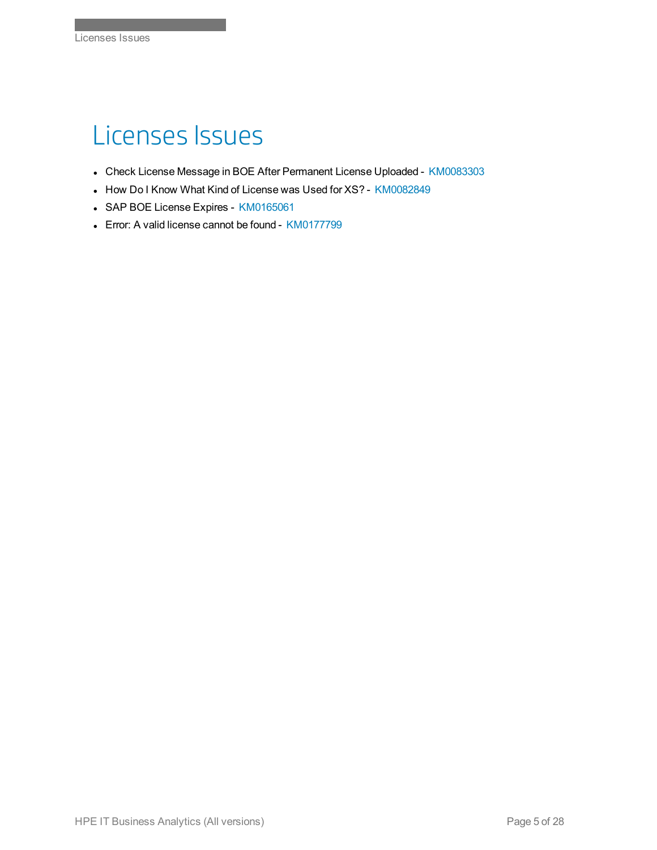#### Licenses Issues

- Check License Message in BOE After Permanent License Uploaded [KM0083303](https://softwaresupport.hpe.com/km/KM00833030)
- How Do I Know What Kind of License was Used for XS? [KM0082849](https://softwaresupport.hpe.com/km/KM00828497)
- SAP BOE License Expires [KM0165061](https://softwaresupport.hpe.com/km/KM01650618)
- Error: A valid license cannot be found [KM0177799](https://softwaresupport.hpe.com/km/KM01777993)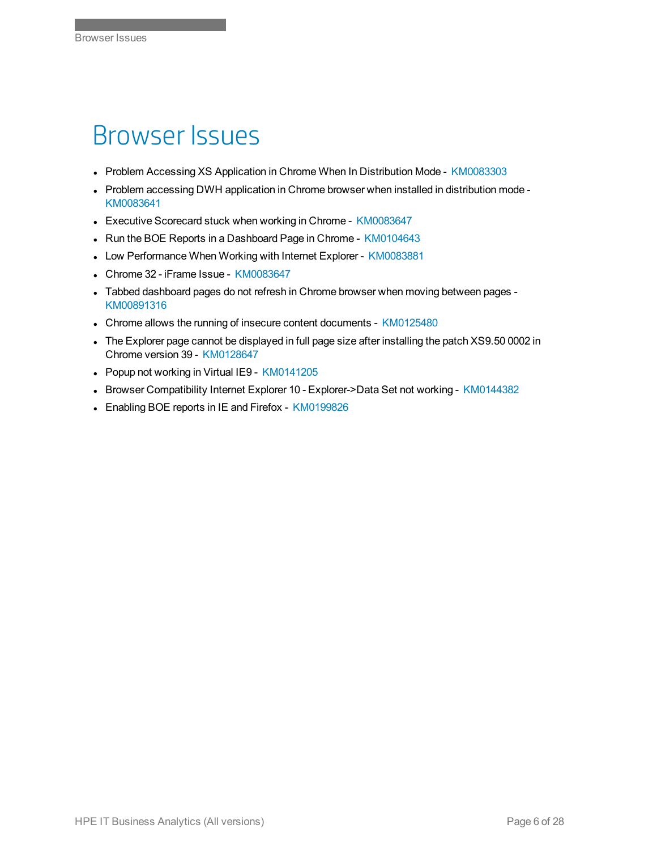#### Browser Issues

- Problem Accessing XS Application in Chrome When In Distribution Mode [KM0083303](https://softwaresupport.hpe.com/km/KM00833030)
- Problem accessing DWH application in Chrome browser when installed in distribution mode -[KM0083641](https://softwaresupport.hpe.com/km/KM00836418)
- Executive Scorecard stuck when working in Chrome [KM0083647](https://softwaresupport.hpe.com/km/KM00836473)
- Run the BOE Reports in a Dashboard Page in Chrome [KM0104643](https://softwaresupport.hpe.com/km/KM01046431)
- Low Performance When Working with Internet Explorer [KM0083881](https://softwaresupport.hpe.com/km/KM00838815)
- <sup>l</sup> Chrome 32 iFrame Issue [KM0083647](https://softwaresupport.hpe.com/km/KM00836473)
- Tabbed dashboard pages do not refresh in Chrome browser when moving between pages -[KM00891316](https://softwaresupport.hpe.com/km/KM00891316R)
- Chrome allows the running of insecure content documents [KM0125480](https://softwaresupport.hpe.com/km/KM01254805)
- <sup>l</sup> The Explorer page cannot be displayed in full page size after installing the patch XS9.50 0002 in Chrome version 39 - [KM0128647](https://softwaresupport.hpe.com/km/KM01286473)
- Popup not working in Virtual IE9 [KM0141205](https://softwaresupport.hpe.com/km/KM01412059)
- Browser Compatibility Internet Explorer 10 Explorer->Data Set not working [KM0144382](https://softwaresupport.hpe.com/km/KM01443828)
- Enabling BOE reports in IE and Firefox [KM0199826](https://softwaresupport.hpe.com/km/KM01998262)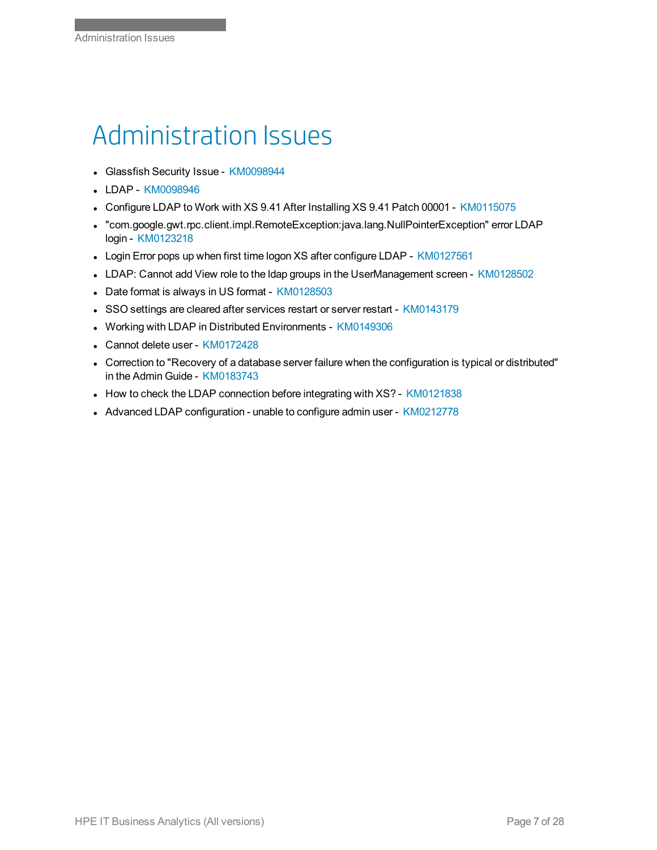## Administration Issues

- Glassfish Security Issue [KM0098944](https://softwaresupport.hpe.com/km/KM00989446)
- LDAP [KM0098946](https://softwaresupport.hpe.com/km/KM00989463)
- Configure LDAP to Work with XS 9.41 After Installing XS 9.41 Patch 00001 [KM0115075](https://softwaresupport.hpe.com/km/KM01150757)
- <sup>l</sup> "com.google.gwt.rpc.client.impl.RemoteException:java.lang.NullPointerException" error LDAP login - [KM0123218](https://softwaresupport.hpe.com/km/KM01232181)
- Login Error pops up when first time logon XS after configure LDAP [KM0127561](https://softwaresupport.hpe.com/km/KM01275612)
- LDAP: Cannot add View role to the Idap groups in the UserManagement screen [KM0128502](https://softwaresupport.hpe.com/km/KM01285024)
- Date format is always in US format [KM0128503](https://softwaresupport.hpe.com/km/KM01285030)
- SSO settings are cleared after services restart or server restart [KM0143179](https://softwaresupport.hpe.com/km/KM01431791)
- **Working with LDAP in Distributed Environments [KM0149306](https://softwaresupport.hpe.com/km/KM01493066)**
- Cannot delete user [KM0172428](https://softwaresupport.hpe.com/km/KM01724289)
- Correction to "Recovery of a database server failure when the configuration is typical or distributed" in the Admin Guide - [KM0183743](https://softwaresupport.hpe.com/km/KM01837431)
- How to check the LDAP connection before integrating with XS? [KM0121838](https://softwaresupport.hpe.com/km/KM01218382)
- Advanced LDAP configuration unable to configure admin user [KM0212778](https://softwaresupport.hp.com/group/softwaresupport/search-result/-/facetsearch/document/KM02127781)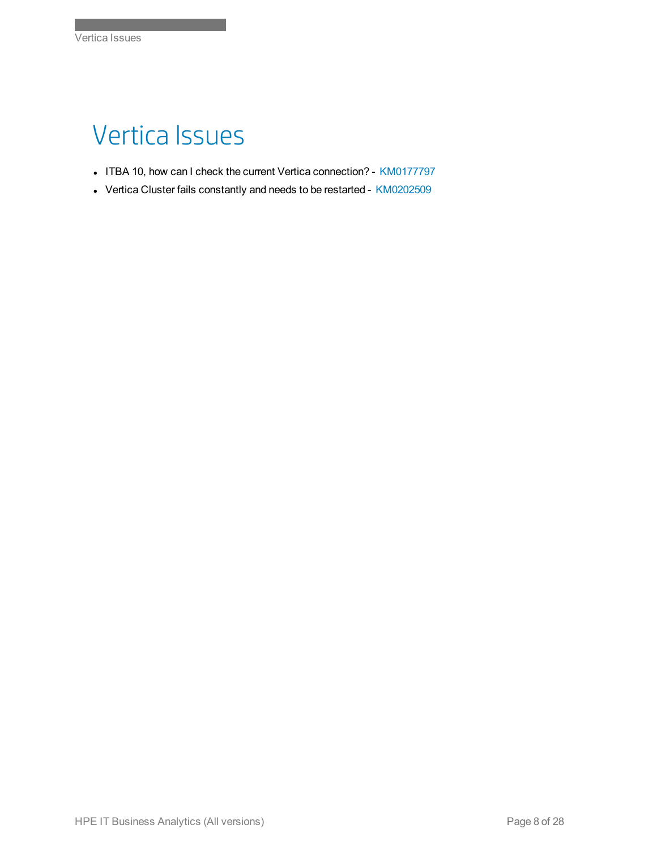### Vertica Issues

Index of Knowledgebase Articles

- ITBA 10, how can I check the current Vertica connection? [KM0177797](https://softwaresupport.hpe.com/km/KM01777977)
- Vertica Cluster fails constantly and needs to be restarted [KM0202509](https://softwaresupport.hpe.com/km/KM02025095)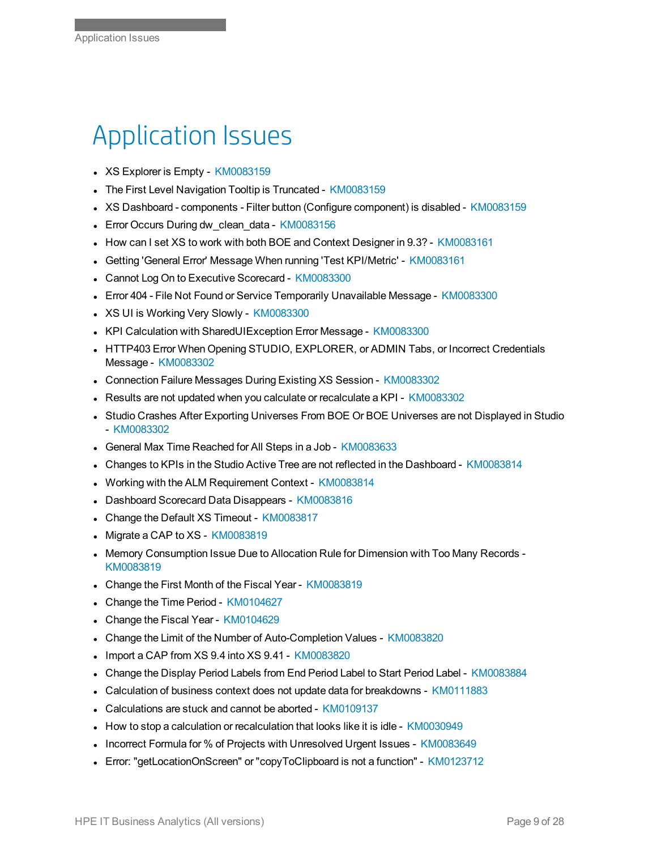#### Application Issues

- XS Explorer is Empty [KM0083159](https://softwaresupport.hpe.com/km/KM00831592)
- The First Level Navigation Tooltip is Truncated [KM0083159](https://softwaresupport.hpe.com/km/KM00831593)
- XS Dashboard components Filter button (Configure component) is disabled [KM0083159](https://softwaresupport.hpe.com/km/KM00831594)
- Error Occurs During dw\_clean\_data [KM0083156](https://softwaresupport.hpe.com/km/KM00831569)
- How can I set XS to work with both BOE and Context Designer in 9.3? [KM0083161](https://softwaresupport.hpe.com/km/KM00831611)
- <sup>l</sup> Getting 'General Error' Message When running 'Test KPI/Metric' [KM0083161](https://softwaresupport.hpe.com/km/KM00831612)
- Cannot Log On to Executive Scorecard [KM0083300](https://softwaresupport.hpe.com/km/KM00833003)
- Error 404 File Not Found or Service Temporarily Unavailable Message [KM0083300](https://softwaresupport.hpe.com/km/KM00833004)
- XS UI is Working Very Slowly [KM0083300](https://softwaresupport.hpe.com/km/KM00833005)
- KPI Calculation with SharedUIException Error Message [KM0083300](https://softwaresupport.hpe.com/km/KM00833006)
- <sup>l</sup> HTTP403 Error When Opening STUDIO, EXPLORER, or ADMIN Tabs, or Incorrect Credentials Message - [KM0083302](https://softwaresupport.hpe.com/km/KM00833024)
- Connection Failure Messages During Existing XS Session [KM0083302](https://softwaresupport.hpe.com/km/KM00833027)
- Results are not updated when you calculate or recalculate a KPI [KM0083302](https://softwaresupport.hpe.com/km/KM00833028)
- Studio Crashes After Exporting Universes From BOE Or BOE Universes are not Displayed in Studio - [KM0083302](https://softwaresupport.hpe.com/km/KM00833029)
- General Max Time Reached for All Steps in a Job [KM0083633](https://softwaresupport.hpe.com/km/KM00836339)
- <sup>l</sup> Changes to KPIs in the Studio Active Tree are not reflected in the Dashboard [KM0083814](https://softwaresupport.hpe.com/km/KM00838148)
- Working with the ALM Requirement Context [KM0083814](https://softwaresupport.hpe.com/km/KM00838149)
- Dashboard Scorecard Data Disappears [KM0083816](https://softwaresupport.hpe.com/km/KM00838169)
- <sup>l</sup> Change the Default XS Timeout [KM0083817](https://softwaresupport.hpe.com/km/KM00838172)
- Migrate a CAP to XS [KM0083819](https://softwaresupport.hpe.com/km/KM00838192)
- Memory Consumption Issue Due to Allocation Rule for Dimension with Too Many Records -[KM0083819](https://softwaresupport.hpe.com/km/KM00838193)
- Change the First Month of the Fiscal Year [KM0083819](https://softwaresupport.hpe.com/km/KM00838195)
- Change the Time Period [KM0104627](https://softwaresupport.hpe.com/km/KM01046275)
- Change the Fiscal Year [KM0104629](https://softwaresupport.hpe.com/km/KM01046290)
- <sup>l</sup> Change the Limit of the Number of Auto-Completion Values [KM0083820](https://softwaresupport.hpe.com/km/KM00838206)
- <sup>l</sup> Import a CAP from XS 9.4 into XS 9.41 [KM0083820](https://softwaresupport.hpe.com/km/KM00838207)
- <sup>l</sup> Change the Display Period Labels from End Period Label to Start Period Label [KM0083884](https://softwaresupport.hpe.com/km/KM00838842)
- <sup>l</sup> Calculation of business context does not update data for breakdowns [KM0111883](https://softwaresupport.hpe.com/km/KM01118835)
- Calculations are stuck and cannot be aborted [KM0109137](https://softwaresupport.hpe.com/km/KM01091375)
- How to stop a calculation or recalculation that looks like it is idle [KM0030949](https://softwaresupport.hpe.com/km/KM00309498)
- <sup>l</sup> Incorrect Formula for % of Projects with Unresolved Urgent Issues [KM0083649](https://softwaresupport.hpe.com/km/KM00836499)
- Error: "getLocationOnScreen" or "copyToClipboard is not a function" [KM0123712](https://softwaresupport.hpe.com/km/KM01237121)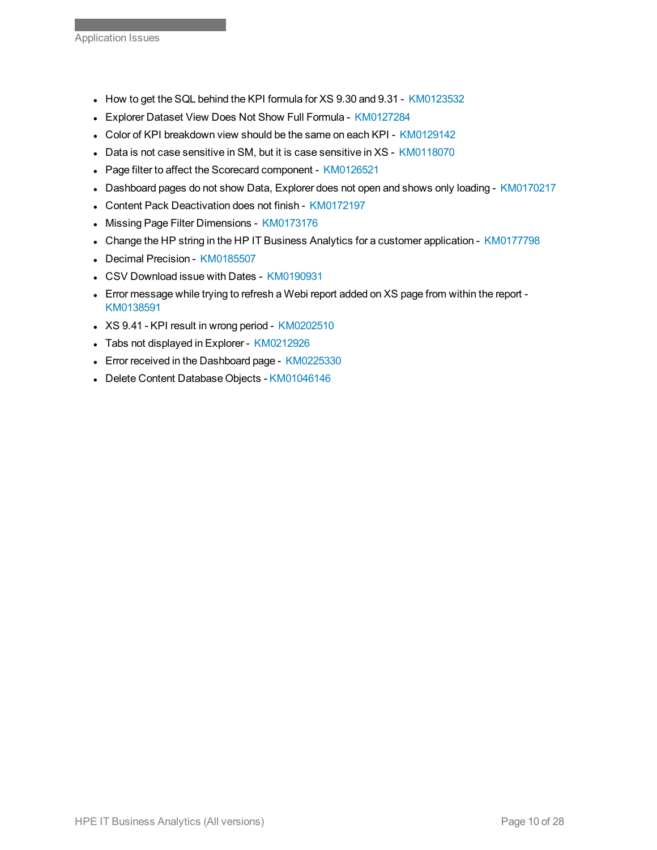- How to get the SQL behind the KPI formula for XS 9.30 and 9.31 [KM0123532](https://softwaresupport.hpe.com/km/KM01235324)
- Explorer Dataset View Does Not Show Full Formula [KM0127284](https://softwaresupport.hpe.com/km/KM01272846)
- Color of KPI breakdown view should be the same on each KPI [KM0129142](https://softwaresupport.hpe.com/km/KM01291420)
- Data is not case sensitive in SM, but it is case sensitive in XS [KM0118070](https://softwaresupport.hpe.com/km/KM01180700)
- Page filter to affect the Scorecard component [KM0126521](https://softwaresupport.hpe.com/km/KM01265214)
- Dashboard pages do not show Data, Explorer does not open and shows only loading [KM0170217](https://softwaresupport.hpe.com/km/KM01702176)
- Content Pack Deactivation does not finish [KM0172197](https://softwaresupport.hpe.com/km/KM01721979)
- Missing Page Filter Dimensions [KM0173176](https://softwaresupport.hpe.com/km/KM01731762)
- Change the HP string in the HP IT Business Analytics for a customer application [KM0177798](https://softwaresupport.hpe.com/km/KM01777987)
- Decimal Precision [KM0185507](https://softwaresupport.hpe.com/km/KM01855072)
- **CSV Download issue with Dates [KM0190931](https://softwaresupport.hpe.com/km/KM01909315)**
- Error message while trying to refresh a Webi report added on XS page from within the report -[KM0138591](https://softwaresupport.hpe.com/km/KM01385919)
- XS 9.41 KPI result in wrong period [KM0202510](https://softwaresupport.hpe.com/km/KM02025102)
- Tabs not displayed in Explorer [KM0212926](https://softwaresupport.hp.com/group/softwaresupport/search-result/-/facetsearch/document/KM02129260)
- Error received in the Dashboard page [KM0225330](https://softwaresupport.hp.com/group/softwaresupport/search-result/-/facetsearch/document/KM02253301)
- Delete Content Database Objects [KM01046146](https://softwaresupport.hpe.com/km/KM01046146)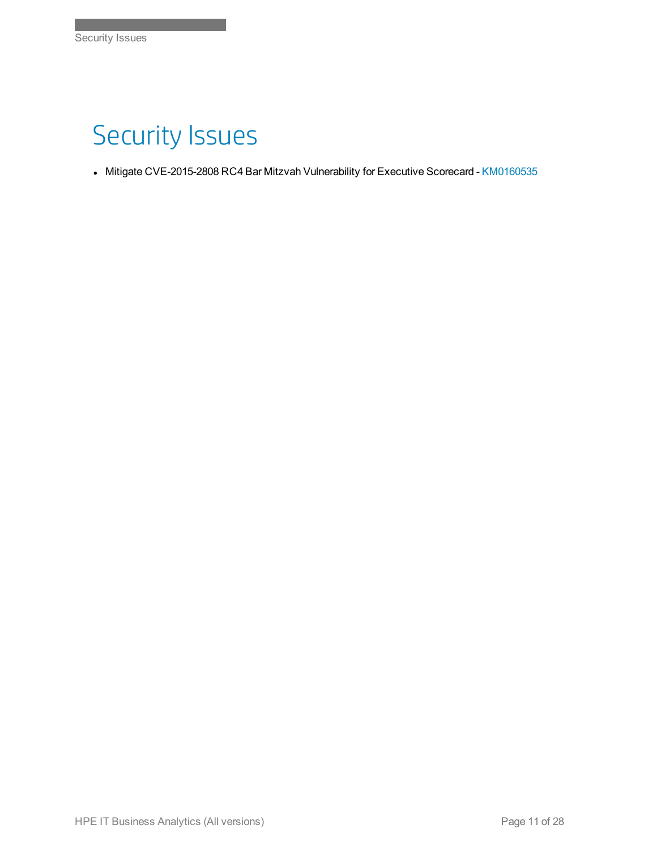## Security Issues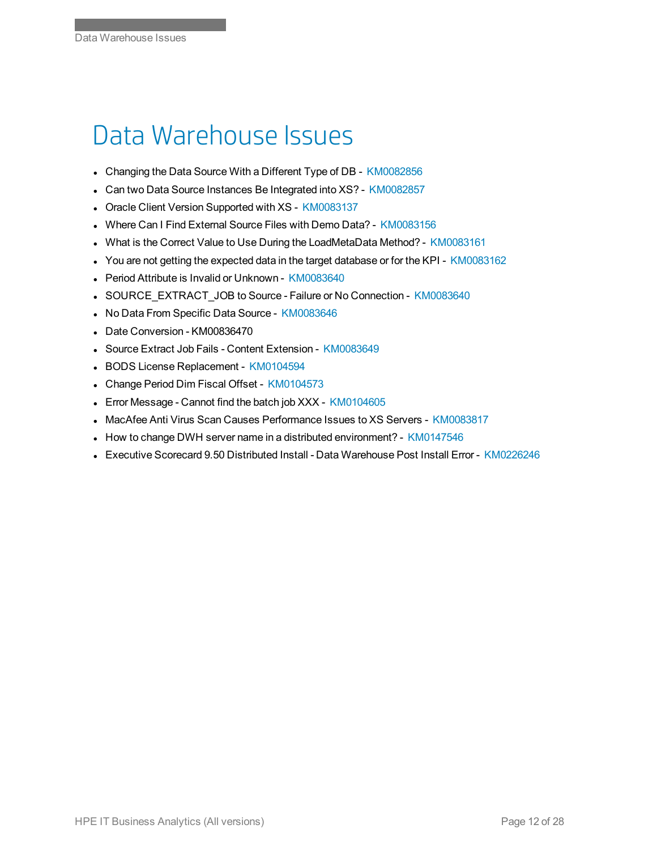#### Data Warehouse Issues

- Changing the Data Source With a Different Type of DB [KM0082856](https://softwaresupport.hpe.com/km/KM00828569)
- Can two Data Source Instances Be Integrated into XS? [KM0082857](https://softwaresupport.hpe.com/km/KM00828571)
- Oracle Client Version Supported with XS [KM0083137](https://softwaresupport.hpe.com/km/KM00831378)
- Where Can I Find External Source Files with Demo Data? [KM0083156](https://softwaresupport.hpe.com/km/KM00831568)
- What is the Correct Value to Use During the LoadMetaData Method? [KM0083161](https://softwaresupport.hpe.com/km/KM00831610)
- You are not getting the expected data in the target database or for the KPI [KM0083162](https://softwaresupport.hpe.com/km/KM00831621)
- Period Attribute is Invalid or Unknown [KM0083640](https://softwaresupport.hpe.com/km/KM00836407)
- **.** SOURCE\_EXTRACT\_JOB to Source Failure or No Connection [KM0083640](https://softwaresupport.hpe.com/km/KM00836409)
- No Data From Specific Data Source [KM0083646](https://softwaresupport.hpe.com/km/KM00836469)
- Date Conversion KM00836470
- Source Extract Job Fails Content Extension [KM0083649](https://softwaresupport.hpe.com/km/KM00836496)
- BODS License Replacement [KM0104594](https://softwaresupport.hpe.com/km/KM01045945)
- <sup>l</sup> Change Period Dim Fiscal Offset [KM0104573](https://softwaresupport.hpe.com/km/KM01045734)
- Error Message Cannot find the batch job XXX [KM0104605](https://softwaresupport.hpe.com/km/KM01046054)
- MacAfee Anti Virus Scan Causes Performance Issues to XS Servers [KM0083817](https://softwaresupport.hpe.com/km/KM00838171)
- How to change DWH server name in a distributed environment? [KM0147546](https://softwaresupport.hpe.com/km/KM01475460)
- **Executive Scorecard 9.50 Distributed Install Data Warehouse Post Install Error [KM0226246](https://softwaresupport.hp.com/group/softwaresupport/search-result/-/facetsearch/document/KM02262468)**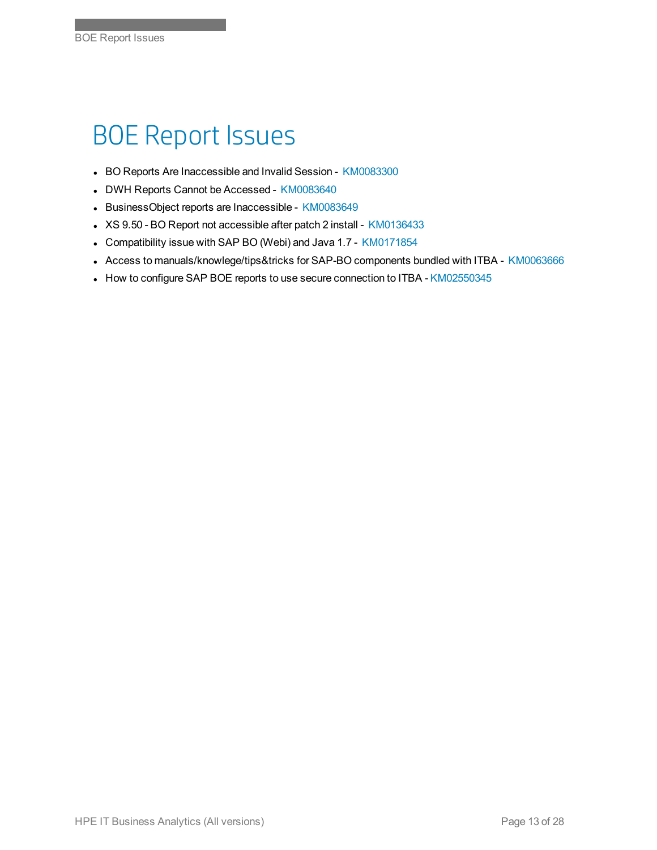#### BOE Report Issues

- BO Reports Are Inaccessible and Invalid Session [KM0083300](https://softwaresupport.hpe.com/km/KM00833008)
- DWH Reports Cannot be Accessed [KM0083640](https://softwaresupport.hpe.com/km/KM00836408)
- BusinessObject reports are Inaccessible [KM0083649](https://softwaresupport.hpe.com/km/KM00836495)
- No. XS 9.50 BO Report not accessible after patch 2 install [KM0136433](https://softwaresupport.hpe.com/km/KM01364336)
- Compatibility issue with SAP BO (Webi) and Java 1.7 [KM0171854](https://softwaresupport.hpe.com/km/KM01718544)
- Access to manuals/knowlege/tips&tricks for SAP-BO components bundled with ITBA [KM0063666](https://softwaresupport.hpe.com/km/KM00636666)
- How to configure SAP BOE reports to use secure connection to ITBA [KM02550345](https://softwaresupport.hpe.com/km/KM02550345)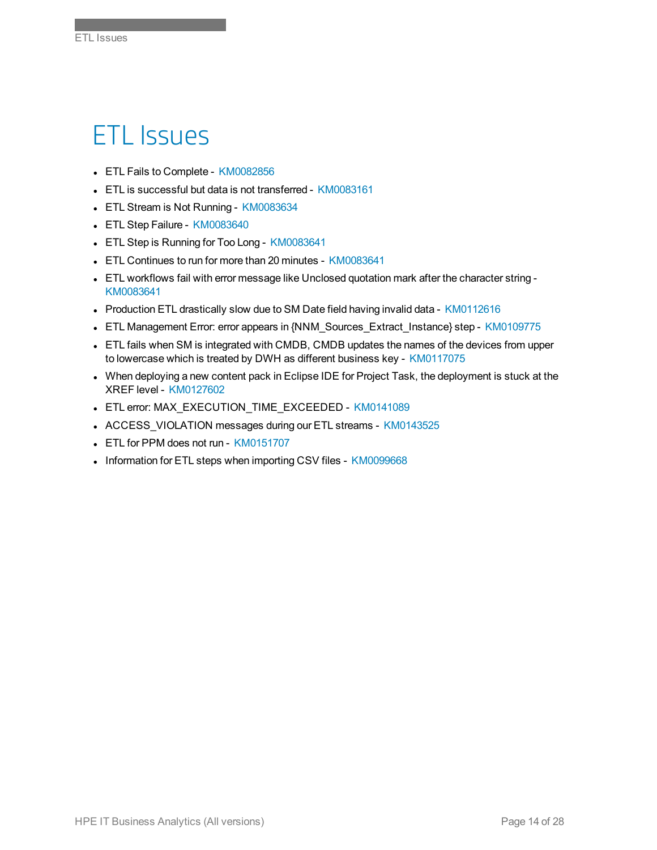#### ETL Issues

Index of Knowledgebase Articles

- ETL Fails to Complete [KM0082856](https://softwaresupport.hpe.com/km/KM00828568)
- ETL is successful but data is not transferred [KM0083161](https://softwaresupport.hpe.com/km/KM00831617)
- ETL Stream is Not Running [KM0083634](https://softwaresupport.hpe.com/km/KM00836341)
- ETL Step Failure [KM0083640](https://softwaresupport.hpe.com/km/KM00836406)
- ETL Step is Running for Too Long [KM0083641](https://softwaresupport.hpe.com/km/KM00836410)
- ETL Continues to run for more than 20 minutes [KM0083641](https://softwaresupport.hpe.com/km/KM00836411)
- ETL workflows fail with error message like Unclosed quotation mark after the character string -[KM0083641](https://softwaresupport.hpe.com/km/KM00836412)
- Production ETL drastically slow due to SM Date field having invalid data [KM0112616](https://softwaresupport.hpe.com/km/KM01126160)
- <sup>l</sup> ETL Management Error: error appears in {NNM\_Sources\_Extract\_Instance} step [KM0109775](https://softwaresupport.hpe.com/km/KM01097754)
- ETL fails when SM is integrated with CMDB, CMDB updates the names of the devices from upper to lowercase which is treated by DWH as different business key - [KM0117075](https://softwaresupport.hpe.com/km/KM01170752)
- When deploying a new content pack in Eclipse IDE for Project Task, the deployment is stuck at the XREF level - [KM0127602](https://softwaresupport.hpe.com/km/KM01276022)
- ETL error: MAX\_EXECUTION\_TIME\_EXCEEDED [KM0141089](https://softwaresupport.hpe.com/km/KM01410890)
- ACCESS\_VIOLATION messages during our ETL streams [KM0143525](https://softwaresupport.hpe.com/km/KM01435256)
- ETL for PPM does not run [KM0151707](https://softwaresupport.hpe.com/km/KM01517072)
- Information for ETL steps when importing CSV files [KM0099668](https://softwaresupport.hpe.com/km/KM00996681)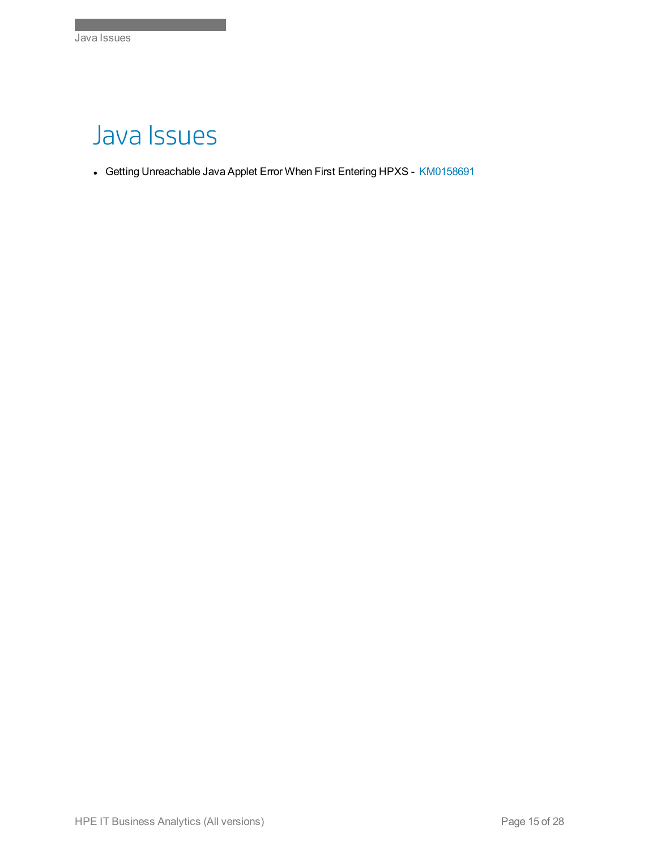#### Java Issues

Index of Knowledgebase Articles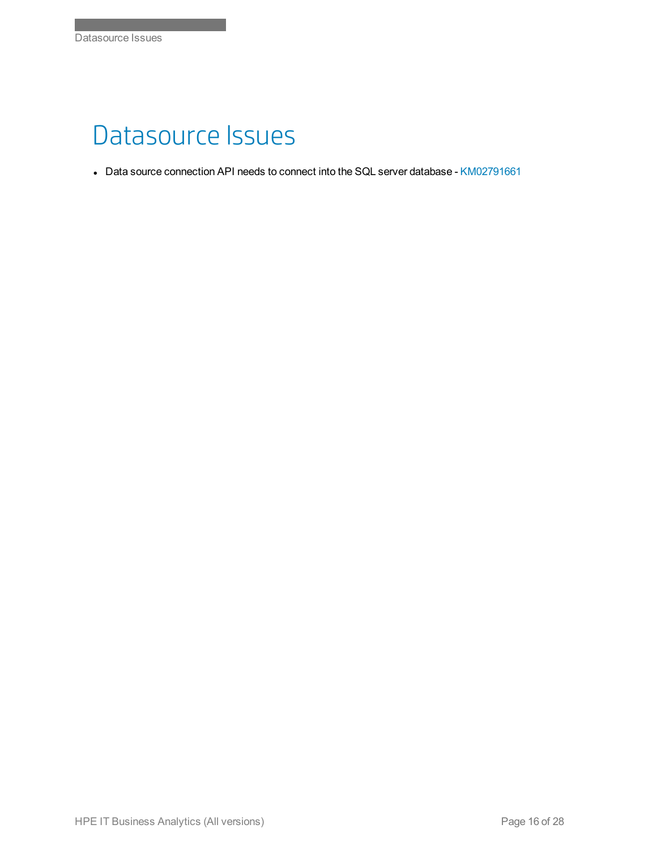#### Datasource Issues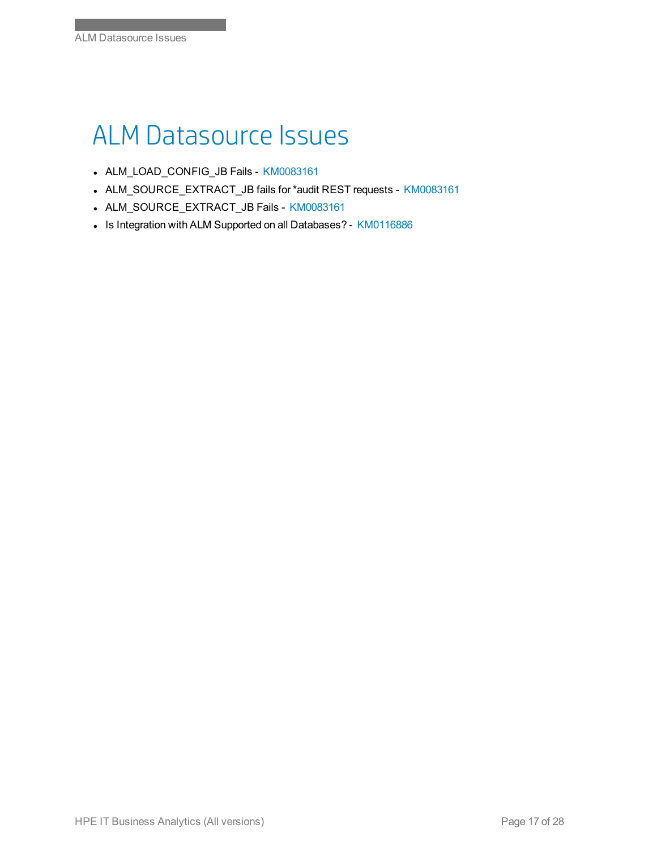## ALM Datasource Issues

- ALM\_LOAD\_CONFIG\_JB Fails [KM0083161](https://softwaresupport.hpe.com/km/KM00831614)
- ALM\_SOURCE\_EXTRACT\_JB fails for \*audit REST requests [KM0083161](https://softwaresupport.hpe.com/km/KM00831619)
- ALM\_SOURCE\_EXTRACT\_JB Fails [KM0083161](https://softwaresupport.hpe.com/km/KM00831615)
- Is Integration with ALM Supported on all Databases? [KM0116886](https://softwaresupport.hpe.com/km/KM01168868)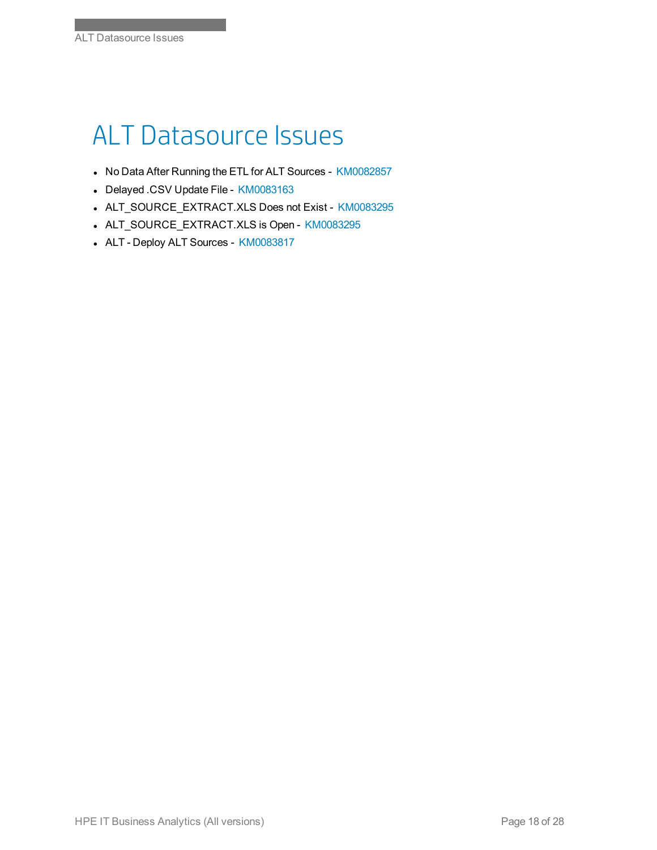# ALT Datasource Issues

- No Data After Running the ETL for ALT Sources [KM0082857](https://softwaresupport.hpe.com/km/KM00828570)
- Delayed .CSV Update File [KM0083163](https://softwaresupport.hpe.com/km/KM00831637)
- ALT\_SOURCE\_EXTRACT.XLS Does not Exist [KM0083295](https://softwaresupport.hpe.com/km/KM00832950)
- ALT\_SOURCE\_EXTRACT.XLS is Open [KM0083295](https://softwaresupport.hpe.com/km/KM00832951)
- ALT Deploy ALT Sources [KM0083817](https://softwaresupport.hpe.com/km/KM00838170)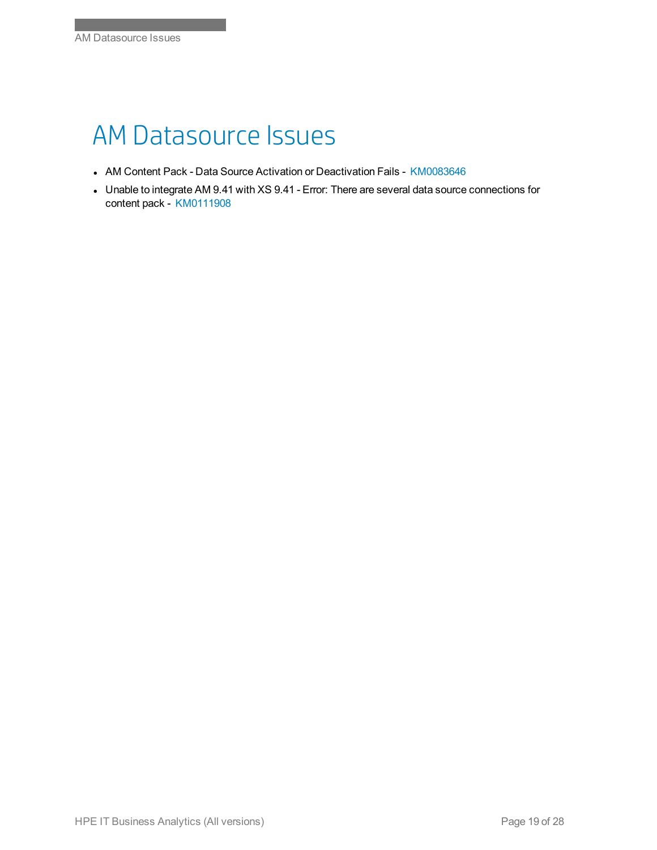#### AM Datasource Issues

- AM Content Pack Data Source Activation or Deactivation Fails [KM0083646](https://softwaresupport.hpe.com/km/KM00836468)
- Unable to integrate AM 9.41 with XS 9.41 Error: There are several data source connections for content pack - [KM0111908](https://softwaresupport.hpe.com/km/KM01119087)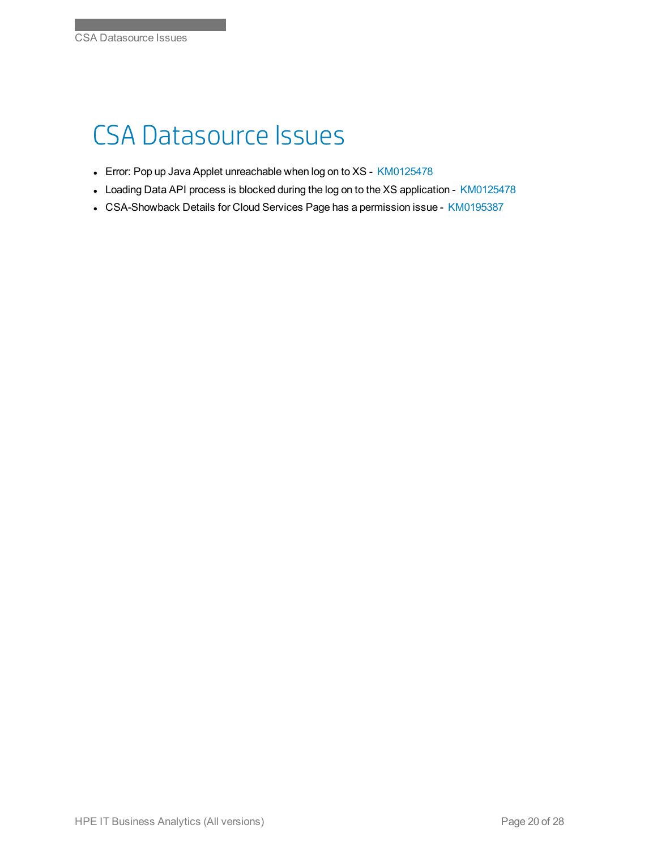## CSA Datasource Issues

- Error: Pop up Java Applet unreachable when log on to XS [KM0125478](https://softwaresupport.hpe.com/km/KM01254787)
- Loading Data API process is blocked during the log on to the XS application [KM0125478](https://softwaresupport.hpe.com/km/KM01254788)
- CSA-Showback Details for Cloud Services Page has a permission issue [KM0195387](https://softwaresupport.hpe.com/km/KM01953876)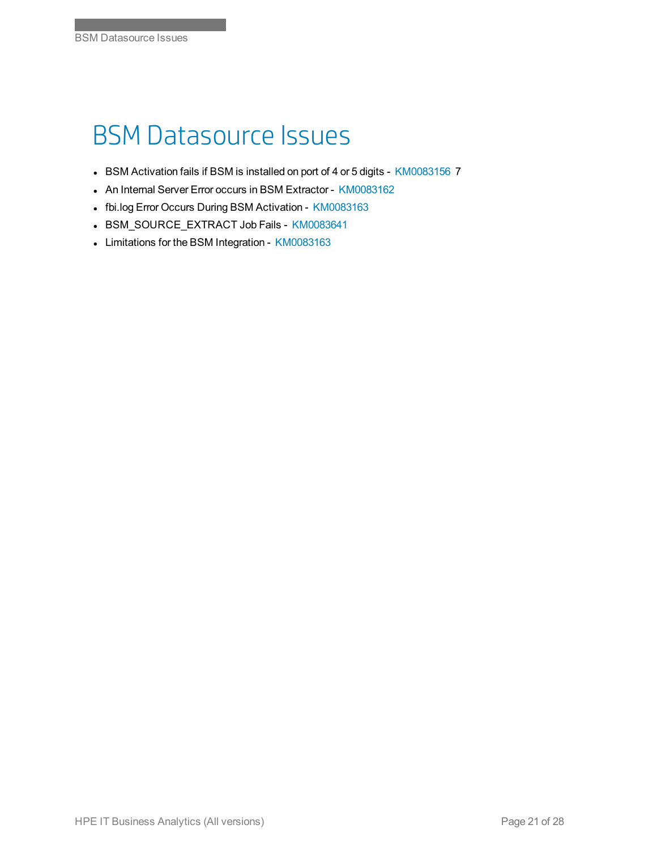## BSM Datasource Issues

- BSM Activation fails if BSM is installed on port of 4 or 5 digits [KM0083156](https://softwaresupport.hpe.com/km/KM00831567) 7
- An Internal Server Error occurs in BSM Extractor [KM0083162](https://softwaresupport.hpe.com/km/KM00831620)
- fbi.log Error Occurs During BSM Activation [KM0083163](https://softwaresupport.hpe.com/km/KM00831635)
- BSM\_SOURCE\_EXTRACT Job Fails [KM0083641](https://softwaresupport.hpe.com/km/KM00836413)
- Limitations for the BSM Integration [KM0083163](https://softwaresupport.hpe.com/km/KM00831636)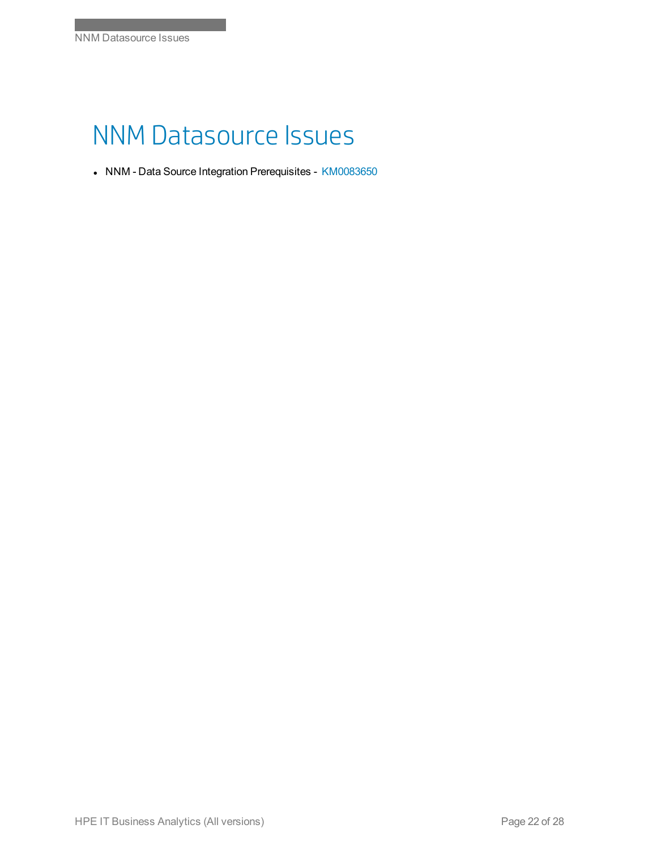#### NNM Datasource Issues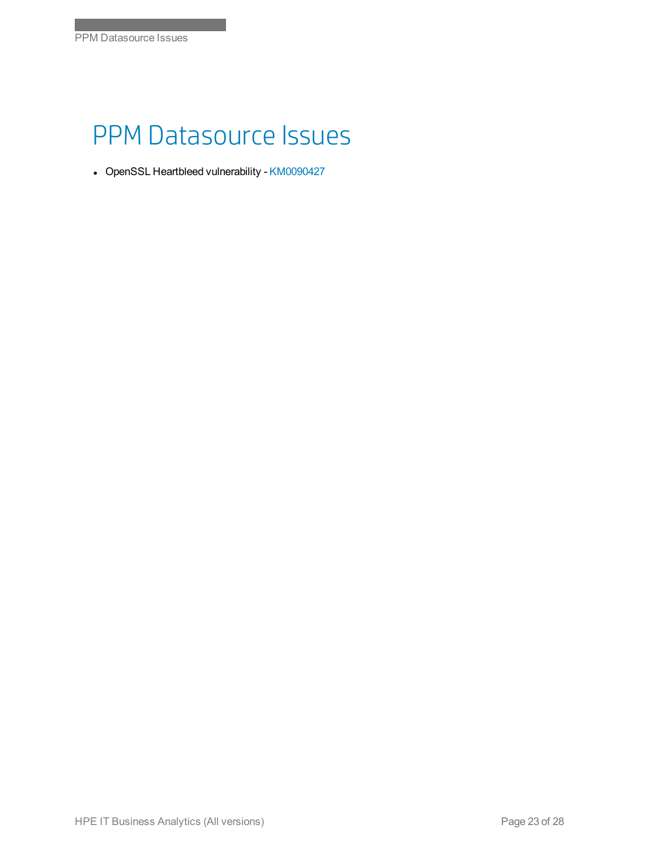#### PPM Datasource Issues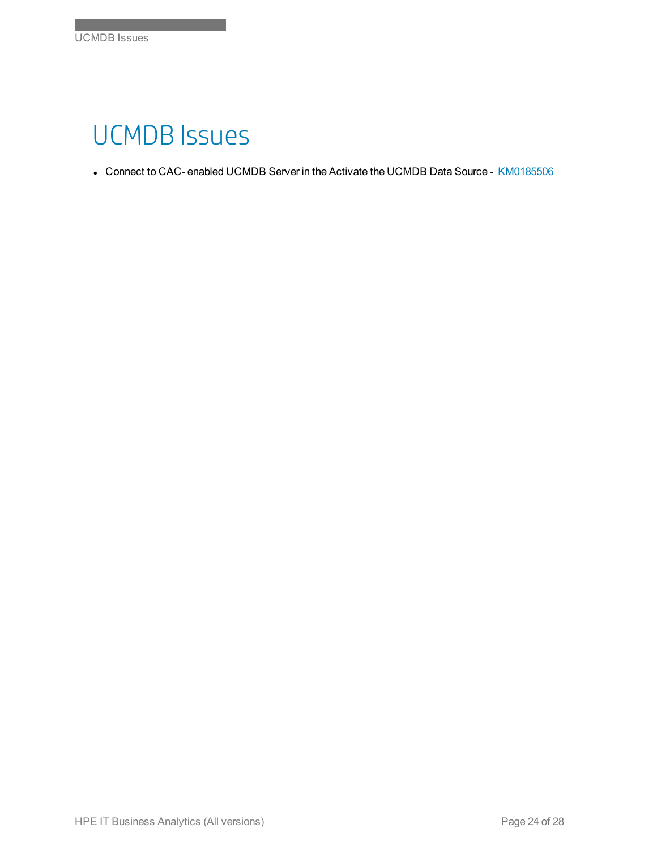#### UCMDB Issues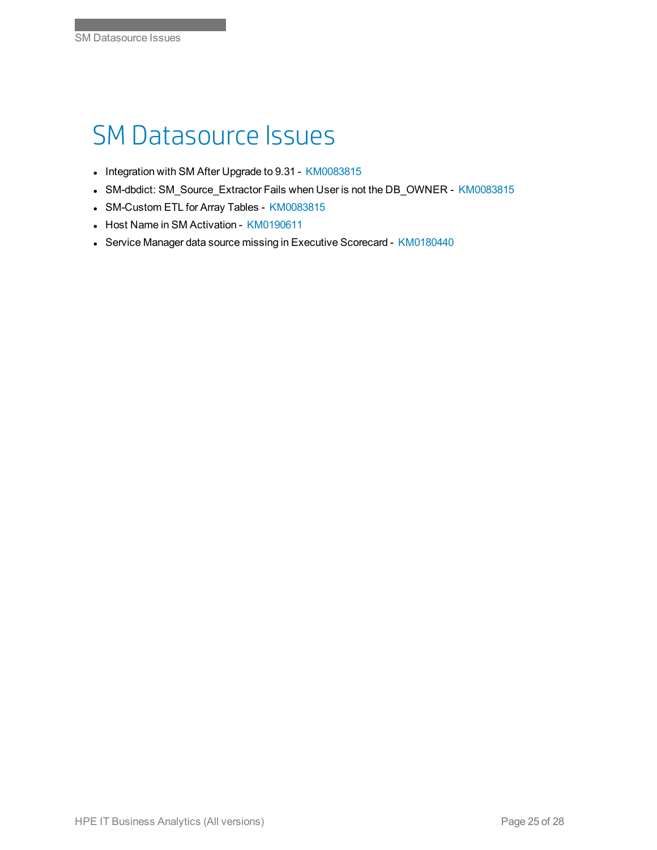## SM Datasource Issues

- Integration with SM After Upgrade to 9.31 [KM0083815](https://softwaresupport.hpe.com/km/KM00838151)
- SM-dbdict: SM\_Source\_Extractor Fails when User is not the DB\_OWNER [KM0083815](https://softwaresupport.hpe.com/km/KM00838152)
- SM-Custom ETL for Array Tables [KM0083815](https://softwaresupport.hpe.com/km/KM00838158)
- Host Name in SM Activation [KM0190611](https://softwaresupport.hpe.com/km/KM01906118)
- Service Manager data source missing in Executive Scorecard [KM0180440](https://softwaresupport.hpe.com/km/KM01804406)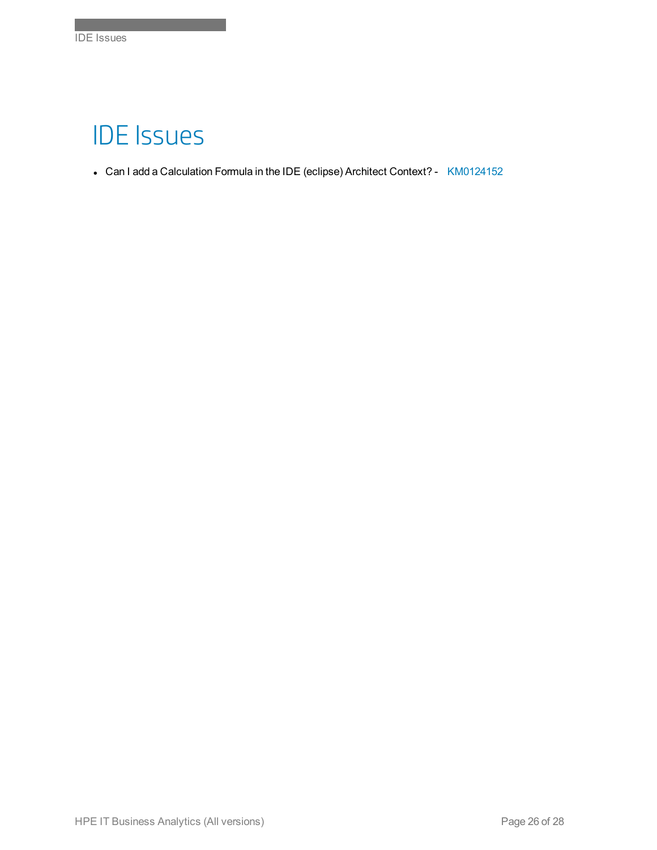## IDE Issues

Index of Knowledgebase Articles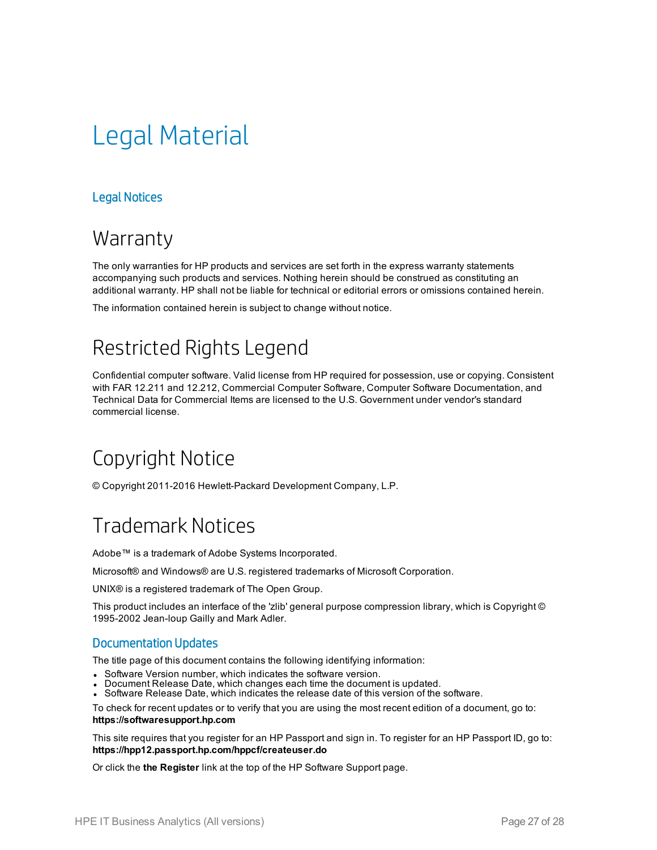# Legal Material

#### Legal Notices

#### **Warranty**

The only warranties for HP products and services are set forth in the express warranty statements accompanying such products and services. Nothing herein should be construed as constituting an additional warranty. HP shall not be liable for technical or editorial errors or omissions contained herein.

The information contained herein is subject to change without notice.

#### Restricted Rights Legend

Confidential computer software. Valid license from HP required for possession, use or copying. Consistent with FAR 12.211 and 12.212, Commercial Computer Software, Computer Software Documentation, and Technical Data for Commercial Items are licensed to the U.S. Government under vendor's standard commercial license.

#### Copyright Notice

© Copyright 2011-2016 Hewlett-Packard Development Company, L.P.

#### Trademark Notices

Adobe™ is a trademark of Adobe Systems Incorporated.

Microsoft® and Windows® are U.S. registered trademarks of Microsoft Corporation.

UNIX® is a registered trademark of The Open Group.

This product includes an interface of the 'zlib' general purpose compression library, which is Copyright © 1995-2002 Jean-loup Gailly and Mark Adler.

#### Documentation Updates

The title page of this document contains the following identifying information:

- Software Version number, which indicates the software version.
- Document Release Date, which changes each time the document is updated.
- Software Release Date, which indicates the release date of this version of the software.

To check for recent updates or to verify that you are using the most recent edition of a document, go to: **https://softwaresupport.hp.com**

This site requires that you register for an HP Passport and sign in. To register for an HP Passport ID, go to: **https://hpp12.passport.hp.com/hppcf/createuser.do**

Or click the **the Register** link at the top of the HP Software Support page.